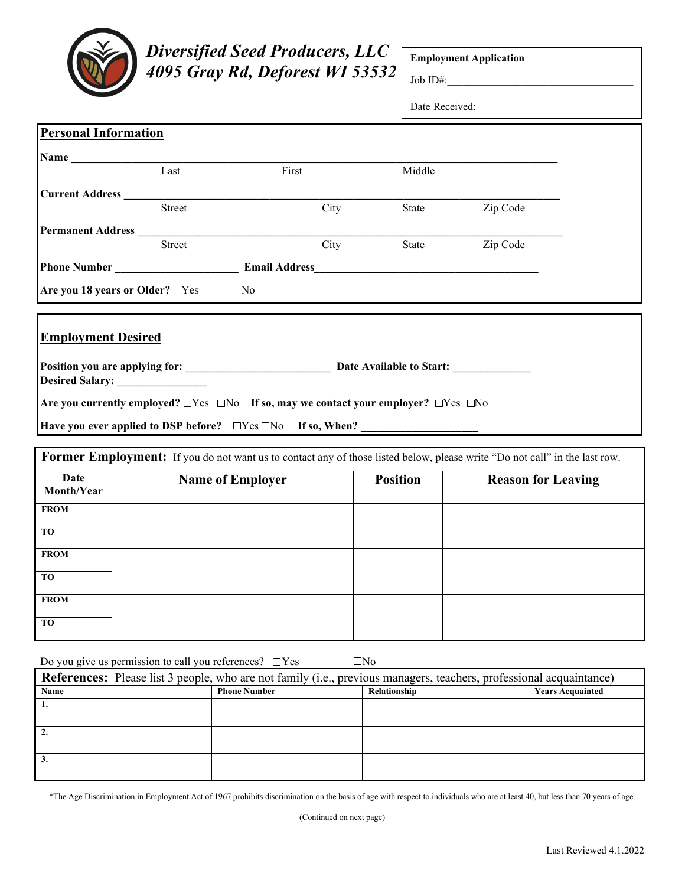

**FROM**

**FROM**

**TO**

**TO**

## *Diversified Seed Producers, LLC 4095 Gray Rd, Deforest WI 53532*

**Employment Application**

Job ID#:

Date Received:

| <b>Personal Information</b>                                                                                                                                                                                                 |                                |       |                 |                           |  |
|-----------------------------------------------------------------------------------------------------------------------------------------------------------------------------------------------------------------------------|--------------------------------|-------|-----------------|---------------------------|--|
|                                                                                                                                                                                                                             |                                |       |                 |                           |  |
|                                                                                                                                                                                                                             | $\overline{\text{Last}}$       | First | Middle          |                           |  |
| Current Address                                                                                                                                                                                                             |                                |       |                 |                           |  |
|                                                                                                                                                                                                                             | <b>Street</b>                  | City  | State           | Zip Code                  |  |
|                                                                                                                                                                                                                             | <b>Permanent Address</b>       |       |                 |                           |  |
|                                                                                                                                                                                                                             | <b>Street</b>                  | City  | State           | Zip Code                  |  |
|                                                                                                                                                                                                                             |                                |       |                 |                           |  |
|                                                                                                                                                                                                                             | Are you 18 years or Older? Yes | No    |                 |                           |  |
| <b>Employment Desired</b><br>Are you currently employed? $\Box$ Yes $\Box$ No If so, may we contact your employer? $\Box$ Yes $\Box$ No<br>Have you ever applied to DSP before? □ Yes □ No If so, When? ___________________ |                                |       |                 |                           |  |
| Former Employment: If you do not want us to contact any of those listed below, please write "Do not call" in the last row.                                                                                                  |                                |       |                 |                           |  |
| Date<br>Month/Year                                                                                                                                                                                                          | <b>Name of Employer</b>        |       | <b>Position</b> | <b>Reason for Leaving</b> |  |
| <b>FROM</b>                                                                                                                                                                                                                 |                                |       |                 |                           |  |
| T <sub>O</sub>                                                                                                                                                                                                              |                                |       |                 |                           |  |

| Do you give us permission to call you references? $\Box$ Yes |  |
|--------------------------------------------------------------|--|

| <b>References:</b> Please list 3 people, who are not family (i.e., previous managers, teachers, professional acquaintance) |                     |              |                         |  |  |
|----------------------------------------------------------------------------------------------------------------------------|---------------------|--------------|-------------------------|--|--|
| Name                                                                                                                       | <b>Phone Number</b> | Relationship | <b>Years Acquainted</b> |  |  |
|                                                                                                                            |                     |              |                         |  |  |
|                                                                                                                            |                     |              |                         |  |  |
|                                                                                                                            |                     |              |                         |  |  |
|                                                                                                                            |                     |              |                         |  |  |
|                                                                                                                            |                     |              |                         |  |  |
|                                                                                                                            |                     |              |                         |  |  |

\*The Age Discrimination in Employment Act of 1967 prohibits discrimination on the basis of age with respect to individuals who are at least 40, but less than 70 years of age.